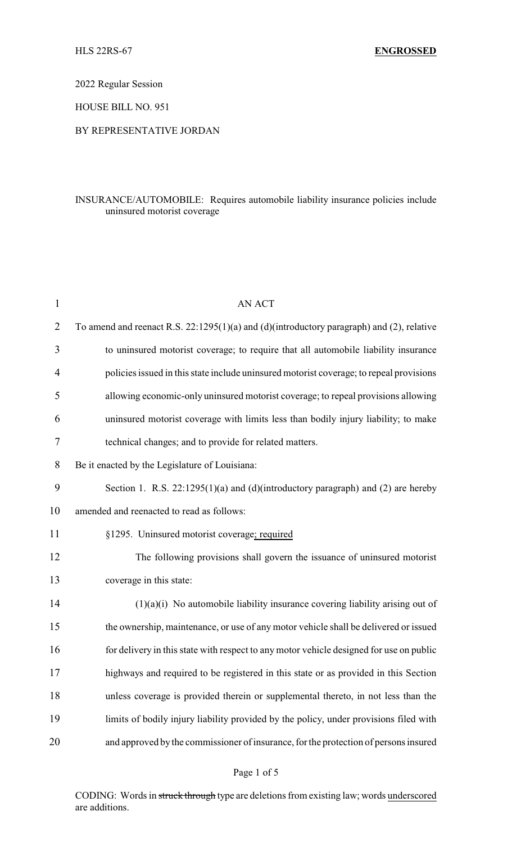2022 Regular Session

HOUSE BILL NO. 951

## BY REPRESENTATIVE JORDAN

# INSURANCE/AUTOMOBILE: Requires automobile liability insurance policies include uninsured motorist coverage

| $\mathbf{1}$ | <b>AN ACT</b>                                                                             |
|--------------|-------------------------------------------------------------------------------------------|
| 2            | To amend and reenact R.S. 22:1295(1)(a) and (d)(introductory paragraph) and (2), relative |
| 3            | to uninsured motorist coverage; to require that all automobile liability insurance        |
| 4            | policies issued in this state include uninsured motorist coverage; to repeal provisions   |
| 5            | allowing economic-only uninsured motorist coverage; to repeal provisions allowing         |
| 6            | uninsured motorist coverage with limits less than bodily injury liability; to make        |
| 7            | technical changes; and to provide for related matters.                                    |
| 8            | Be it enacted by the Legislature of Louisiana:                                            |
| 9            | Section 1. R.S. $22:1295(1)(a)$ and (d)(introductory paragraph) and (2) are hereby        |
| 10           | amended and reenacted to read as follows:                                                 |
| 11           | §1295. Uninsured motorist coverage; required                                              |
| 12           | The following provisions shall govern the issuance of uninsured motorist                  |
| 13           | coverage in this state:                                                                   |
| 14           | $(1)(a)(i)$ No automobile liability insurance covering liability arising out of           |
| 15           | the ownership, maintenance, or use of any motor vehicle shall be delivered or issued      |
| 16           | for delivery in this state with respect to any motor vehicle designed for use on public   |
| 17           | highways and required to be registered in this state or as provided in this Section       |
| 18           | unless coverage is provided therein or supplemental thereto, in not less than the         |
| 19           | limits of bodily injury liability provided by the policy, under provisions filed with     |
| 20           | and approved by the commissioner of insurance, for the protection of persons insured      |
|              |                                                                                           |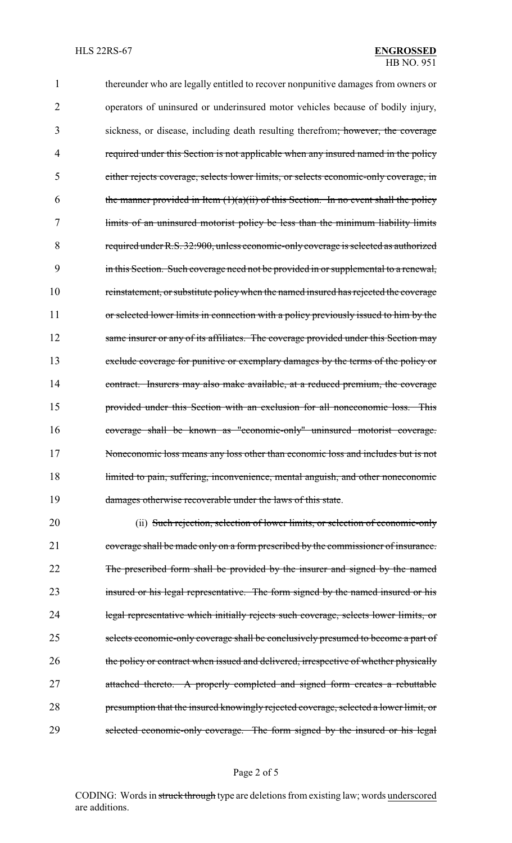thereunder who are legally entitled to recover nonpunitive damages from owners or operators of uninsured or underinsured motor vehicles because of bodily injury, sickness, or disease, including death resulting therefrom; however, the coverage 4 required under this Section is not applicable when any insured named in the policy either rejects coverage, selects lower limits, or selects economic-only coverage, in 6 the manner provided in Item  $(1)(a)(ii)$  of this Section. In no event shall the policy limits of an uninsured motorist policy be less than the minimum liability limits required under R.S. 32:900, unless economic-only coverage is selected as authorized in this Section. Such coverage need not be provided in or supplemental to a renewal, reinstatement, or substitute policy when the named insured has rejected the coverage 11 or selected lower limits in connection with a policy previously issued to him by the 12 same insurer or any of its affiliates. The coverage provided under this Section may exclude coverage for punitive or exemplary damages by the terms of the policy or 14 contract. Insurers may also make available, at a reduced premium, the coverage provided under this Section with an exclusion for all noneconomic loss. This coverage shall be known as "economic-only" uninsured motorist coverage. Noneconomic loss means any loss other than economic loss and includes but is not 18 limited to pain, suffering, inconvenience, mental anguish, and other noneconomic 19 damages otherwise recoverable under the laws of this state.

20 (ii) Such rejection, selection of lower limits, or selection of economic-only 21 coverage shall be made only on a form prescribed by the commissioner of insurance. 22 The prescribed form shall be provided by the insurer and signed by the named 23 insured or his legal representative. The form signed by the named insured or his 24 legal representative which initially rejects such coverage, selects lower limits, or 25 selects economic-only coverage shall be conclusively presumed to become a part of 26 the policy or contract when issued and delivered, irrespective of whether physically 27 attached thereto. A properly completed and signed form creates a rebuttable 28 presumption that the insured knowingly rejected coverage, selected a lower limit, or 29 selected economic-only coverage. The form signed by the insured or his legal

#### Page 2 of 5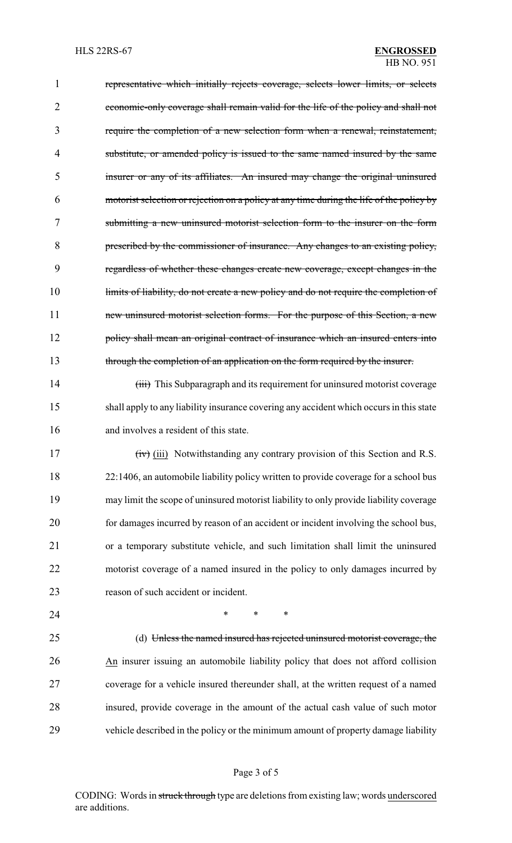representative which initially rejects coverage, selects lower limits, or selects economic-only coverage shall remain valid for the life of the policy and shall not require the completion of a new selection form when a renewal, reinstatement, 4 substitute, or amended policy is issued to the same named insured by the same insurer or any of its affiliates. An insured may change the original uninsured motorist selection or rejection on a policy at any time during the life of the policy by submitting a new uninsured motorist selection form to the insurer on the form prescribed by the commissioner of insurance. Any changes to an existing policy, regardless of whether these changes create new coverage, except changes in the 10 limits of liability, do not create a new policy and do not require the completion of 11 new uninsured motorist selection forms. For the purpose of this Section, a new 12 policy shall mean an original contract of insurance which an insured enters into 13 through the completion of an application on the form required by the insurer. 14 (iii) This Subparagraph and its requirement for uninsured motorist coverage

 shall apply to any liability insurance covering any accident which occurs in this state and involves a resident of this state.

 (iii) Notwithstanding any contrary provision of this Section and R.S. 22:1406, an automobile liability policy written to provide coverage for a school bus may limit the scope of uninsured motorist liability to only provide liability coverage for damages incurred by reason of an accident or incident involving the school bus, or a temporary substitute vehicle, and such limitation shall limit the uninsured motorist coverage of a named insured in the policy to only damages incurred by 23 reason of such accident or incident.

**\*** \* \* \*

 (d) Unless the named insured has rejected uninsured motorist coverage, the An insurer issuing an automobile liability policy that does not afford collision coverage for a vehicle insured thereunder shall, at the written request of a named insured, provide coverage in the amount of the actual cash value of such motor vehicle described in the policy or the minimum amount of property damage liability

## Page 3 of 5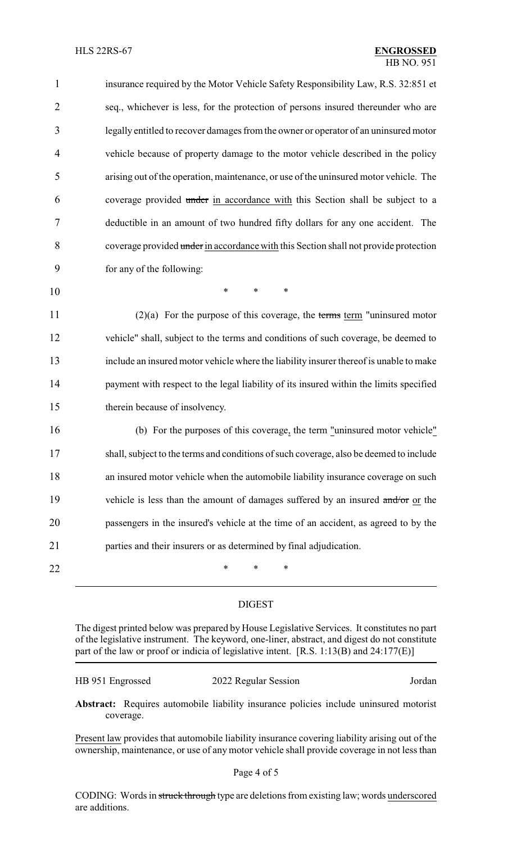| 1              | insurance required by the Motor Vehicle Safety Responsibility Law, R.S. 32:851 et      |
|----------------|----------------------------------------------------------------------------------------|
| $\overline{2}$ | seq., whichever is less, for the protection of persons insured thereunder who are      |
| 3              | legally entitled to recover damages from the owner or operator of an uninsured motor   |
| 4              | vehicle because of property damage to the motor vehicle described in the policy        |
| 5              | arising out of the operation, maintenance, or use of the uninsured motor vehicle. The  |
| 6              | coverage provided under in accordance with this Section shall be subject to a          |
| 7              | deductible in an amount of two hundred fifty dollars for any one accident. The         |
| 8              | coverage provided under in accordance with this Section shall not provide protection   |
| 9              | for any of the following:                                                              |
| 10             | *<br>$\ast$<br>$\ast$                                                                  |
| 11             | $(2)(a)$ For the purpose of this coverage, the terms term "uninsured motor             |
| 12             | vehicle" shall, subject to the terms and conditions of such coverage, be deemed to     |
| 13             | include an insured motor vehicle where the liability insurer thereof is unable to make |
| 14             | payment with respect to the legal liability of its insured within the limits specified |
| 15             | therein because of insolvency.                                                         |
| 16             | (b) For the purposes of this coverage, the term "uninsured motor vehicle"              |
| 17             | shall, subject to the terms and conditions of such coverage, also be deemed to include |
| 18             | an insured motor vehicle when the automobile liability insurance coverage on such      |
| 19             | vehicle is less than the amount of damages suffered by an insured and/or or the        |
| 20             | passengers in the insured's vehicle at the time of an accident, as agreed to by the    |
| 21             | parties and their insurers or as determined by final adjudication.                     |
| 22             | ∗<br>∗<br>∗                                                                            |

## DIGEST

The digest printed below was prepared by House Legislative Services. It constitutes no part of the legislative instrument. The keyword, one-liner, abstract, and digest do not constitute part of the law or proof or indicia of legislative intent. [R.S. 1:13(B) and 24:177(E)]

| HB 951 Engrossed<br>2022 Regular Session | Jordan |
|------------------------------------------|--------|
|------------------------------------------|--------|

**Abstract:** Requires automobile liability insurance policies include uninsured motorist coverage.

Present law provides that automobile liability insurance covering liability arising out of the ownership, maintenance, or use of any motor vehicle shall provide coverage in not less than